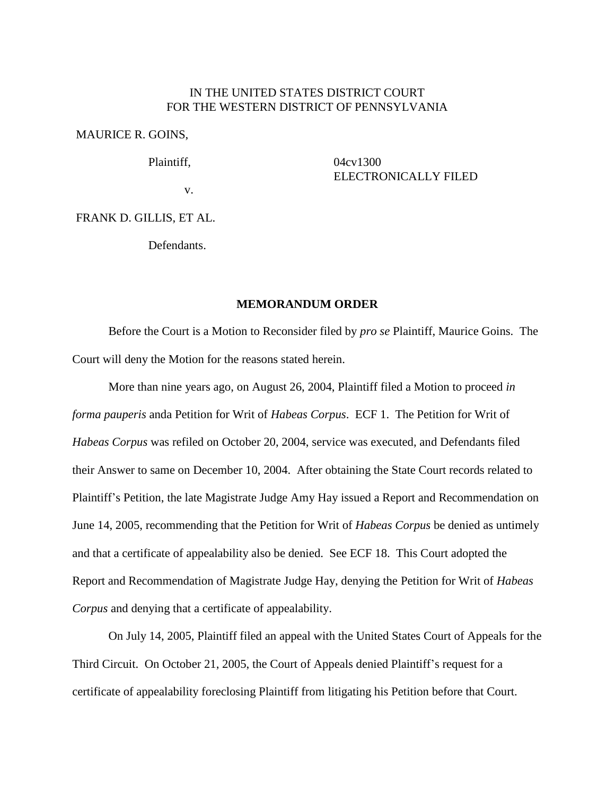### IN THE UNITED STATES DISTRICT COURT FOR THE WESTERN DISTRICT OF PENNSYLVANIA

MAURICE R. GOINS,

Plaintiff,

04cv1300 ELECTRONICALLY FILED

v.

FRANK D. GILLIS, ET AL.

Defendants.

## **MEMORANDUM ORDER**

Before the Court is a Motion to Reconsider filed by *pro se* Plaintiff, Maurice Goins. The Court will deny the Motion for the reasons stated herein.

More than nine years ago, on August 26, 2004, Plaintiff filed a Motion to proceed *in forma pauperis* anda Petition for Writ of *Habeas Corpus*. ECF 1. The Petition for Writ of *Habeas Corpus* was refiled on October 20, 2004, service was executed, and Defendants filed their Answer to same on December 10, 2004. After obtaining the State Court records related to Plaintiff's Petition, the late Magistrate Judge Amy Hay issued a Report and Recommendation on June 14, 2005, recommending that the Petition for Writ of *Habeas Corpus* be denied as untimely and that a certificate of appealability also be denied. See ECF 18. This Court adopted the Report and Recommendation of Magistrate Judge Hay, denying the Petition for Writ of *Habeas Corpus* and denying that a certificate of appealability.

On July 14, 2005, Plaintiff filed an appeal with the United States Court of Appeals for the Third Circuit. On October 21, 2005, the Court of Appeals denied Plaintiff's request for a certificate of appealability foreclosing Plaintiff from litigating his Petition before that Court.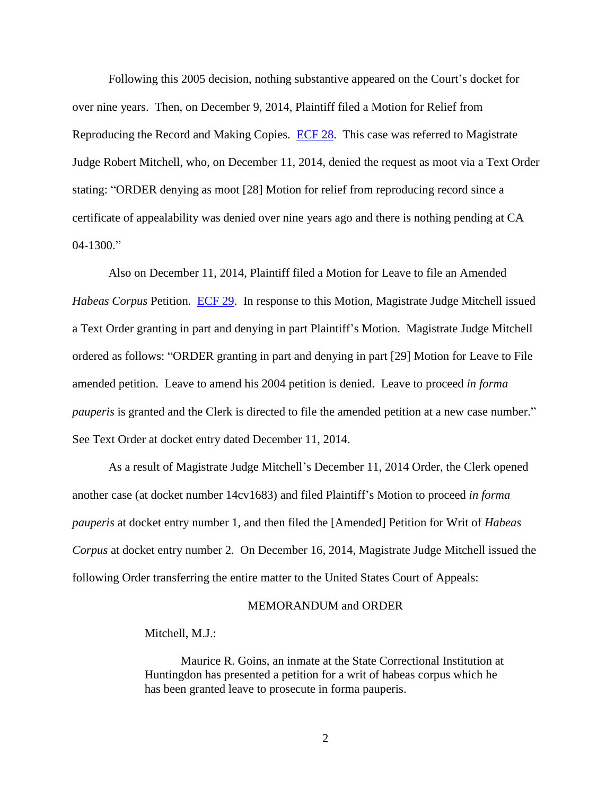Following this 2005 decision, nothing substantive appeared on the Court's docket for over nine years. Then, on December 9, 2014, Plaintiff filed a Motion for Relief from Reproducing the Record and Making Copies. [ECF 28.](https://ecf.pawd.uscourts.gov/doc1/15714536472) This case was referred to Magistrate Judge Robert Mitchell, who, on December 11, 2014, denied the request as moot via a Text Order stating: "ORDER denying as moot [28] Motion for relief from reproducing record since a certificate of appealability was denied over nine years ago and there is nothing pending at CA  $04-1300$ ."

Also on December 11, 2014, Plaintiff filed a Motion for Leave to file an Amended *Habeas Corpus* Petition*.* [ECF 29.](https://ecf.pawd.uscourts.gov/doc1/15714539570) In response to this Motion, Magistrate Judge Mitchell issued a Text Order granting in part and denying in part Plaintiff's Motion. Magistrate Judge Mitchell ordered as follows: "ORDER granting in part and denying in part [29] Motion for Leave to File amended petition. Leave to amend his 2004 petition is denied. Leave to proceed *in forma pauperis* is granted and the Clerk is directed to file the amended petition at a new case number." See Text Order at docket entry dated December 11, 2014.

As a result of Magistrate Judge Mitchell's December 11, 2014 Order, the Clerk opened another case (at docket number 14cv1683) and filed Plaintiff's Motion to proceed *in forma pauperis* at docket entry number 1, and then filed the [Amended] Petition for Writ of *Habeas Corpus* at docket entry number 2. On December 16, 2014, Magistrate Judge Mitchell issued the following Order transferring the entire matter to the United States Court of Appeals:

#### MEMORANDUM and ORDER

#### Mitchell, M.J.:

Maurice R. Goins, an inmate at the State Correctional Institution at Huntingdon has presented a petition for a writ of habeas corpus which he has been granted leave to prosecute in forma pauperis.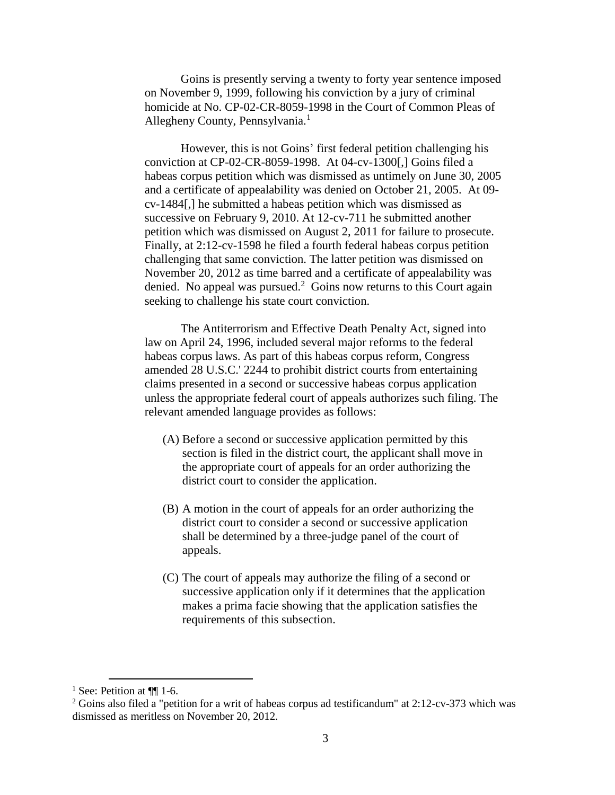Goins is presently serving a twenty to forty year sentence imposed on November 9, 1999, following his conviction by a jury of criminal homicide at No. CP-02-CR-8059-1998 in the Court of Common Pleas of Allegheny County, Pennsylvania.<sup>1</sup>

However, this is not Goins' first federal petition challenging his conviction at CP-02-CR-8059-1998. At 04-cv-1300[,] Goins filed a habeas corpus petition which was dismissed as untimely on June 30, 2005 and a certificate of appealability was denied on October 21, 2005. At 09 cv-1484[,] he submitted a habeas petition which was dismissed as successive on February 9, 2010. At 12-cv-711 he submitted another petition which was dismissed on August 2, 2011 for failure to prosecute. Finally, at 2:12-cv-1598 he filed a fourth federal habeas corpus petition challenging that same conviction. The latter petition was dismissed on November 20, 2012 as time barred and a certificate of appealability was denied. No appeal was pursued.<sup>2</sup> Goins now returns to this Court again seeking to challenge his state court conviction.

The Antiterrorism and Effective Death Penalty Act, signed into law on April 24, 1996, included several major reforms to the federal habeas corpus laws. As part of this habeas corpus reform, Congress amended 28 U.S.C.' 2244 to prohibit district courts from entertaining claims presented in a second or successive habeas corpus application unless the appropriate federal court of appeals authorizes such filing. The relevant amended language provides as follows:

- (A) Before a second or successive application permitted by this section is filed in the district court, the applicant shall move in the appropriate court of appeals for an order authorizing the district court to consider the application.
- (B) A motion in the court of appeals for an order authorizing the district court to consider a second or successive application shall be determined by a three-judge panel of the court of appeals.
- (C) The court of appeals may authorize the filing of a second or successive application only if it determines that the application makes a prima facie showing that the application satisfies the requirements of this subsection.

 $\overline{a}$ 

<sup>&</sup>lt;sup>1</sup> See: Petition at  $\P\P$  1-6.

<sup>2</sup> Goins also filed a "petition for a writ of habeas corpus ad testificandum" at 2:12-cv-373 which was dismissed as meritless on November 20, 2012.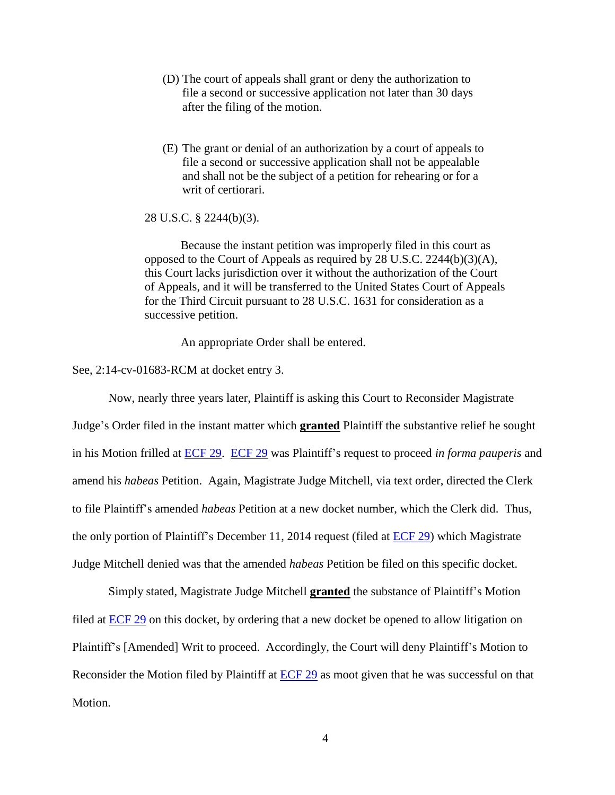- (D) The court of appeals shall grant or deny the authorization to file a second or successive application not later than 30 days after the filing of the motion.
- (E) The grant or denial of an authorization by a court of appeals to file a second or successive application shall not be appealable and shall not be the subject of a petition for rehearing or for a writ of certiorari.

28 U.S.C. § 2244(b)(3).

Because the instant petition was improperly filed in this court as opposed to the Court of Appeals as required by 28 U.S.C. 2244(b)(3)(A), this Court lacks jurisdiction over it without the authorization of the Court of Appeals, and it will be transferred to the United States Court of Appeals for the Third Circuit pursuant to 28 U.S.C. 1631 for consideration as a successive petition.

An appropriate Order shall be entered.

See, 2:14-cv-01683-RCM at docket entry 3.

Now, nearly three years later, Plaintiff is asking this Court to Reconsider Magistrate Judge's Order filed in the instant matter which **granted** Plaintiff the substantive relief he sought in his Motion frilled at [ECF 29.](https://ecf.pawd.uscourts.gov/doc1/15714539570) [ECF 29](https://ecf.pawd.uscourts.gov/doc1/15714539570) was Plaintiff's request to proceed *in forma pauperis* and amend his *habeas* Petition. Again, Magistrate Judge Mitchell, via text order, directed the Clerk to file Plaintiff's amended *habeas* Petition at a new docket number, which the Clerk did. Thus, the only portion of Plaintiff's December 11, 2014 request (filed at  $ECF$  29) which Magistrate Judge Mitchell denied was that the amended *habeas* Petition be filed on this specific docket.

Simply stated, Magistrate Judge Mitchell **granted** the substance of Plaintiff's Motion filed at [ECF 29](https://ecf.pawd.uscourts.gov/doc1/15714539570) on this docket, by ordering that a new docket be opened to allow litigation on Plaintiff's [Amended] Writ to proceed. Accordingly, the Court will deny Plaintiff's Motion to Reconsider the Motion filed by Plaintiff at [ECF 29](https://ecf.pawd.uscourts.gov/doc1/15714539570) as moot given that he was successful on that Motion.